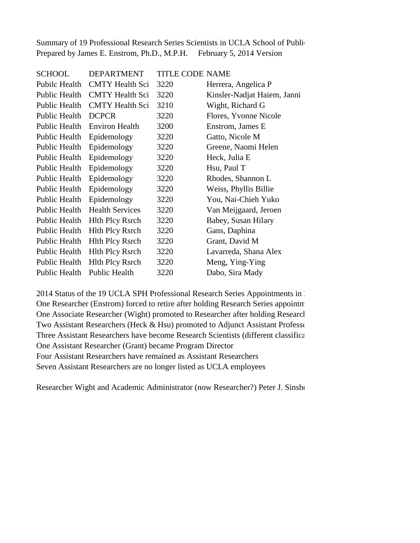Summary of 19 Professional Research Series Scientists in UCLA School of Public Prepared by James E. Enstrom, Ph.D., M.P.H. February 5, 2014 Version

| <b>SCHOOL</b> | <b>DEPARTMENT</b>      | <b>TITLE CODE NAME</b> |                             |
|---------------|------------------------|------------------------|-----------------------------|
| Pubilc Health | <b>CMTY Health Sci</b> | 3220                   | Herrera, Angelica P         |
| Public Health | <b>CMTY</b> Health Sci | 3220                   | Kinsler-Nadjat Haiem, Janni |
| Public Health | <b>CMTY</b> Health Sci | 3210                   | Wight, Richard G            |
| Public Health | <b>DCPCR</b>           | 3220                   | Flores, Yvonne Nicole       |
| Public Health | <b>Environ Health</b>  | 3200                   | Enstrom, James E            |
| Public Health | Epidemology            | 3220                   | Gatto, Nicole M             |
| Public Health | Epidemology            | 3220                   | Greene, Naomi Helen         |
| Public Health | Epidemology            | 3220                   | Heck, Julia E               |
| Public Health | Epidemology            | 3220                   | Hsu, Paul T                 |
| Public Health | Epidemology            | 3220                   | Rhodes, Shannon L           |
| Public Health | Epidemology            | 3220                   | Weiss, Phyllis Billie       |
| Public Health | Epidemology            | 3220                   | You, Nai-Chieh Yuko         |
| Public Health | <b>Health Services</b> | 3220                   | Van Meijgaard, Jeroen       |
| Public Health | <b>Hlth Plcy Rsrch</b> | 3220                   | Babey, Susan Hilary         |
| Public Health | <b>Hlth Plcy Rsrch</b> | 3220                   | Gans, Daphina               |
| Public Health | <b>Hlth Plcy Rsrch</b> | 3220                   | Grant, David M              |
| Public Health | <b>Hlth Plcy Rsrch</b> | 3220                   | Lavarreda, Shana Alex       |
| Public Health | <b>Hlth Plcy Rsrch</b> | 3220                   | Meng, Ying-Ying             |
| Public Health | Public Health          | 3220                   | Dabo, Sira Mady             |

2014 Status of the 19 UCLA SPH Professional Research Series Appointments in 2011 One Researcher (Enstrom) forced to retire after holding Research Series appointment from 1976-2012. One Associate Researcher (Wight) promoted to Researcher after holding Research Two Assistant Researchers (Heck & Hsu) promoted to Adjunct Assistant Professors Three Assistant Researchers have become Research Scientists (different classifica One Assistant Researcher (Grant) became Program Director Four Assistant Researchers have remained as Assistant Researchers Seven Assistant Researchers are no longer listed as UCLA employees

Researcher Wight and Academic Administrator (now Researcher?) Peter J. Sinshe